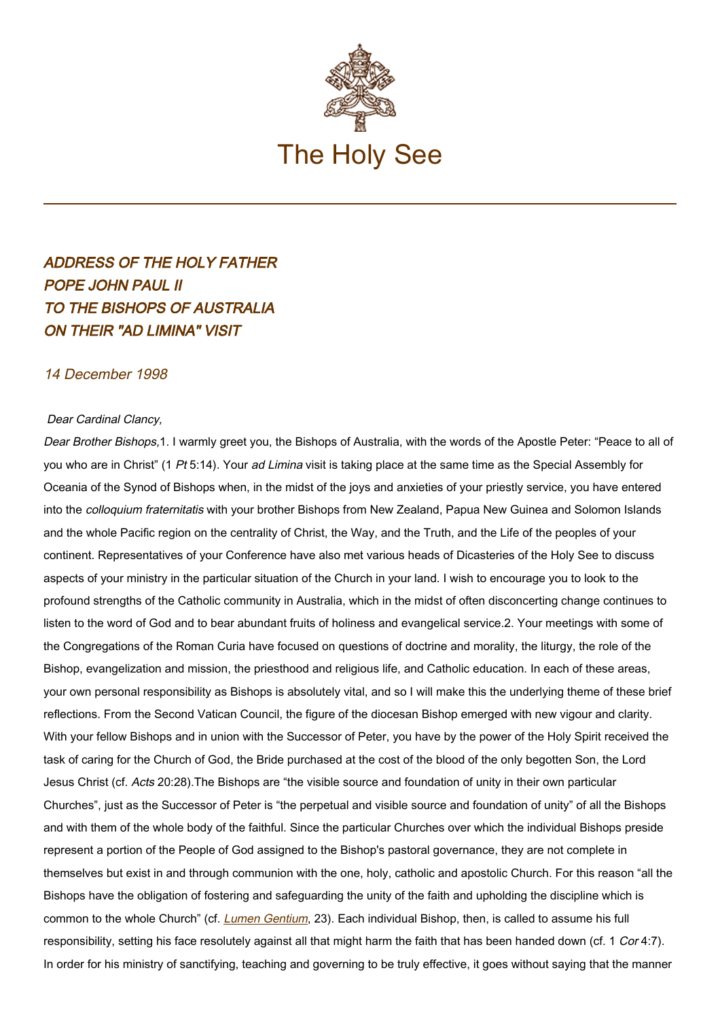

## ADDRESS OF THE HOLY FATHER POPE JOHN PAUL II TO THE BISHOPS OF AUSTRALIA ON THEIR "AD LIMINA" VISIT

## 14 December 1998

## Dear Cardinal Clancy,

Dear Brother Bishops,1. I warmly greet you, the Bishops of Australia, with the words of the Apostle Peter: "Peace to all of you who are in Christ" (1 Pt 5:14). Your ad Limina visit is taking place at the same time as the Special Assembly for Oceania of the Synod of Bishops when, in the midst of the joys and anxieties of your priestly service, you have entered into the *colloquium fraternitatis* with your brother Bishops from New Zealand, Papua New Guinea and Solomon Islands and the whole Pacific region on the centrality of Christ, the Way, and the Truth, and the Life of the peoples of your continent. Representatives of your Conference have also met various heads of Dicasteries of the Holy See to discuss aspects of your ministry in the particular situation of the Church in your land. I wish to encourage you to look to the profound strengths of the Catholic community in Australia, which in the midst of often disconcerting change continues to listen to the word of God and to bear abundant fruits of holiness and evangelical service.2. Your meetings with some of the Congregations of the Roman Curia have focused on questions of doctrine and morality, the liturgy, the role of the Bishop, evangelization and mission, the priesthood and religious life, and Catholic education. In each of these areas, your own personal responsibility as Bishops is absolutely vital, and so I will make this the underlying theme of these brief reflections. From the Second Vatican Council, the figure of the diocesan Bishop emerged with new vigour and clarity. With your fellow Bishops and in union with the Successor of Peter, you have by the power of the Holy Spirit received the task of caring for the Church of God, the Bride purchased at the cost of the blood of the only begotten Son, the Lord Jesus Christ (cf. Acts 20:28).The Bishops are "the visible source and foundation of unity in their own particular Churches", just as the Successor of Peter is "the perpetual and visible source and foundation of unity" of all the Bishops and with them of the whole body of the faithful. Since the particular Churches over which the individual Bishops preside represent a portion of the People of God assigned to the Bishop's pastoral governance, they are not complete in themselves but exist in and through communion with the one, holy, catholic and apostolic Church. For this reason "all the Bishops have the obligation of fostering and safeguarding the unity of the faith and upholding the discipline which is common to the whole Church" (cf. [Lumen Gentium](http://localhost/archive/hist_councils/ii_vatican_council/documents/vat-ii_const_19641121_lumen-gentium_en.html), 23). Each individual Bishop, then, is called to assume his full responsibility, setting his face resolutely against all that might harm the faith that has been handed down (cf. 1 Cor 4:7). In order for his ministry of sanctifying, teaching and governing to be truly effective, it goes without saying that the manner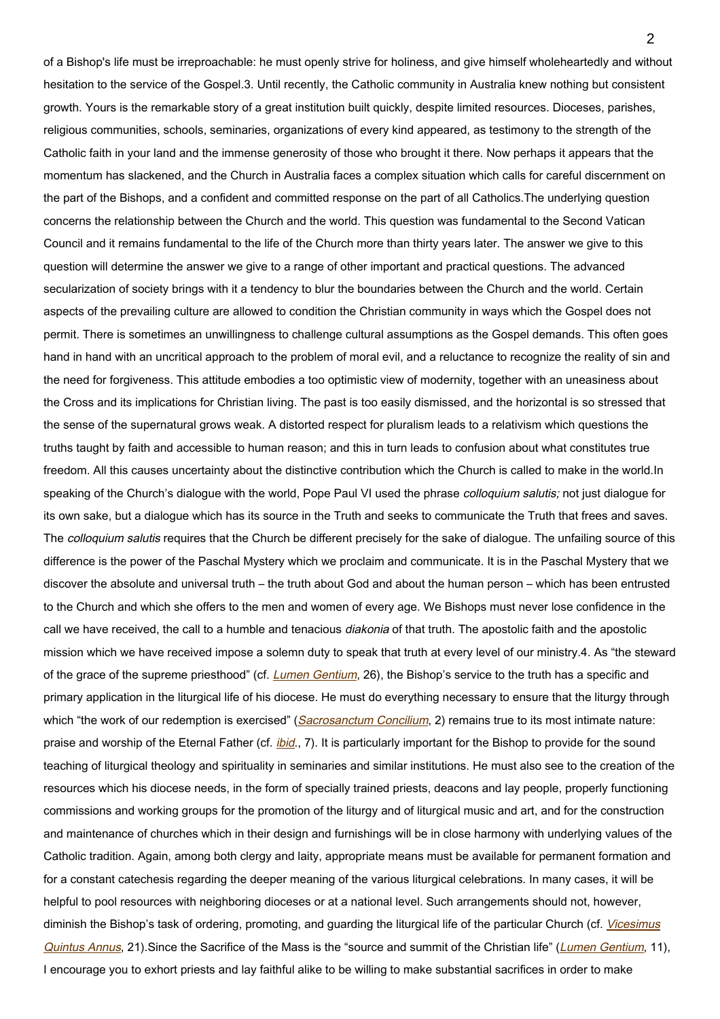of a Bishop's life must be irreproachable: he must openly strive for holiness, and give himself wholeheartedly and without hesitation to the service of the Gospel.3. Until recently, the Catholic community in Australia knew nothing but consistent growth. Yours is the remarkable story of a great institution built quickly, despite limited resources. Dioceses, parishes, religious communities, schools, seminaries, organizations of every kind appeared, as testimony to the strength of the Catholic faith in your land and the immense generosity of those who brought it there. Now perhaps it appears that the momentum has slackened, and the Church in Australia faces a complex situation which calls for careful discernment on the part of the Bishops, and a confident and committed response on the part of all Catholics.The underlying question concerns the relationship between the Church and the world. This question was fundamental to the Second Vatican Council and it remains fundamental to the life of the Church more than thirty years later. The answer we give to this question will determine the answer we give to a range of other important and practical questions. The advanced secularization of society brings with it a tendency to blur the boundaries between the Church and the world. Certain aspects of the prevailing culture are allowed to condition the Christian community in ways which the Gospel does not permit. There is sometimes an unwillingness to challenge cultural assumptions as the Gospel demands. This often goes hand in hand with an uncritical approach to the problem of moral evil, and a reluctance to recognize the reality of sin and the need for forgiveness. This attitude embodies a too optimistic view of modernity, together with an uneasiness about the Cross and its implications for Christian living. The past is too easily dismissed, and the horizontal is so stressed that the sense of the supernatural grows weak. A distorted respect for pluralism leads to a relativism which questions the truths taught by faith and accessible to human reason; and this in turn leads to confusion about what constitutes true freedom. All this causes uncertainty about the distinctive contribution which the Church is called to make in the world.In speaking of the Church's dialogue with the world, Pope Paul VI used the phrase *colloquium salutis;* not just dialogue for its own sake, but a dialogue which has its source in the Truth and seeks to communicate the Truth that frees and saves. The *colloquium salutis* requires that the Church be different precisely for the sake of dialogue. The unfailing source of this difference is the power of the Paschal Mystery which we proclaim and communicate. It is in the Paschal Mystery that we discover the absolute and universal truth – the truth about God and about the human person – which has been entrusted to the Church and which she offers to the men and women of every age. We Bishops must never lose confidence in the call we have received, the call to a humble and tenacious diakonia of that truth. The apostolic faith and the apostolic mission which we have received impose a solemn duty to speak that truth at every level of our ministry.4. As "the steward of the grace of the supreme priesthood" (cf. [Lumen Gentium](http://localhost/archive/hist_councils/ii_vatican_council/documents/vat-ii_const_19641121_lumen-gentium_en.html), 26), the Bishop's service to the truth has a specific and primary application in the liturgical life of his diocese. He must do everything necessary to ensure that the liturgy through which "the work of our redemption is exercised" ([Sacrosanctum Concilium](http://localhost/archive/hist_councils/ii_vatican_council/documents/vat-ii_const_19631204_sacrosanctum-concilium_en.html), 2) remains true to its most intimate nature: praise and worship of the Eternal Father (cf. *[ibid](http://localhost/archive/hist_councils/ii_vatican_council/documents/vat-ii_const_19631204_sacrosanctum-concilium_en.html).*, 7). It is particularly important for the Bishop to provide for the sound teaching of liturgical theology and spirituality in seminaries and similar institutions. He must also see to the creation of the resources which his diocese needs, in the form of specially trained priests, deacons and lay people, properly functioning commissions and working groups for the promotion of the liturgy and of liturgical music and art, and for the construction and maintenance of churches which in their design and furnishings will be in close harmony with underlying values of the Catholic tradition. Again, among both clergy and laity, appropriate means must be available for permanent formation and for a constant catechesis regarding the deeper meaning of the various liturgical celebrations. In many cases, it will be helpful to pool resources with neighboring dioceses or at a national level. Such arrangements should not, however, diminish the Bishop's task of ordering, promoting, and guarding the liturgical life of the particular Church (cf. [Vicesimus](https://www.vatican.va/content/john-paul-ii/en/apost_letters/documents/hf_jp-ii_apl_04121988_vicesimus-quintus-annus.html) [Quintus Annus](https://www.vatican.va/content/john-paul-ii/en/apost_letters/documents/hf_jp-ii_apl_04121988_vicesimus-quintus-annus.html), 21). Since the Sacrifice of the Mass is the "source and summit of the Christian life" ([Lumen Gentium](http://localhost/archive/hist_councils/ii_vatican_council/documents/vat-ii_const_19641121_lumen-gentium_en.html), 11), I encourage you to exhort priests and lay faithful alike to be willing to make substantial sacrifices in order to make

 $\mathfrak{p}$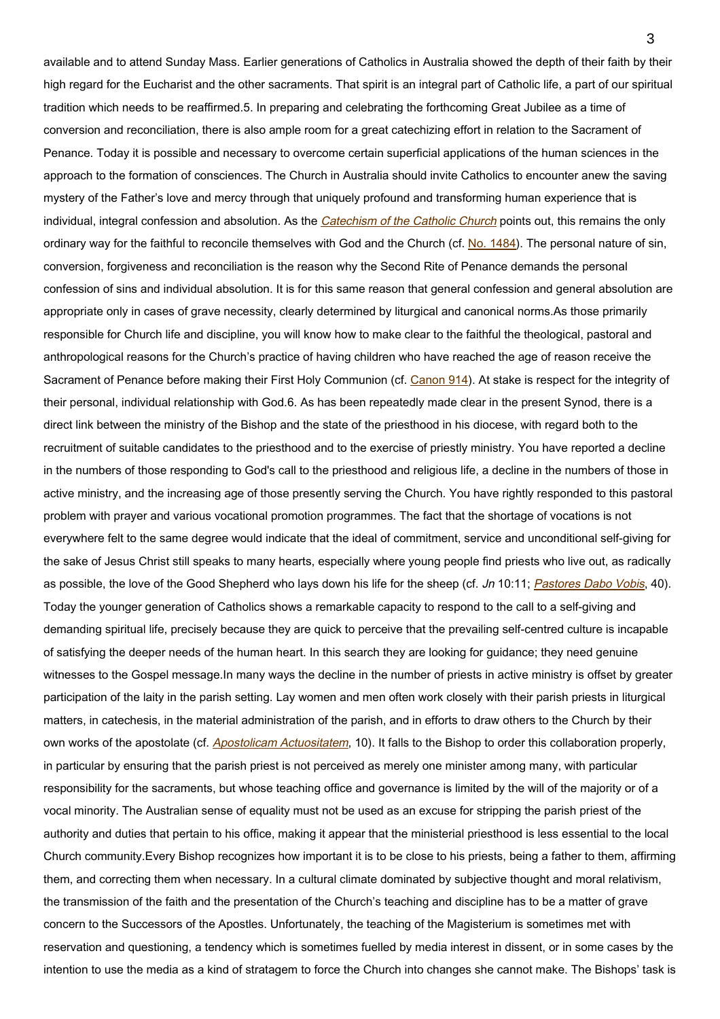available and to attend Sunday Mass. Earlier generations of Catholics in Australia showed the depth of their faith by their high regard for the Eucharist and the other sacraments. That spirit is an integral part of Catholic life, a part of our spiritual tradition which needs to be reaffirmed.5. In preparing and celebrating the forthcoming Great Jubilee as a time of conversion and reconciliation, there is also ample room for a great catechizing effort in relation to the Sacrament of Penance. Today it is possible and necessary to overcome certain superficial applications of the human sciences in the approach to the formation of consciences. The Church in Australia should invite Catholics to encounter anew the saving mystery of the Father's love and mercy through that uniquely profound and transforming human experience that is individual, integral confession and absolution. As the [Catechism of the Catholic Church](http://www.vatican.va/archive/ENG0015/_INDEX.HTM) points out, this remains the only ordinary way for the faithful to reconcile themselves with God and the Church (cf. [No. 1484](http://www.vatican.va/archive/ENG0015/__P4H.HTM)). The personal nature of sin, conversion, forgiveness and reconciliation is the reason why the Second Rite of Penance demands the personal confession of sins and individual absolution. It is for this same reason that general confession and general absolution are appropriate only in cases of grave necessity, clearly determined by liturgical and canonical norms.As those primarily responsible for Church life and discipline, you will know how to make clear to the faithful the theological, pastoral and anthropological reasons for the Church's practice of having children who have reached the age of reason receive the Sacrament of Penance before making their First Holy Communion (cf. [Canon 914\)](http://www.vatican.va/archive/ENG1104/__P39.HTM). At stake is respect for the integrity of their personal, individual relationship with God.6. As has been repeatedly made clear in the present Synod, there is a direct link between the ministry of the Bishop and the state of the priesthood in his diocese, with regard both to the recruitment of suitable candidates to the priesthood and to the exercise of priestly ministry. You have reported a decline in the numbers of those responding to God's call to the priesthood and religious life, a decline in the numbers of those in active ministry, and the increasing age of those presently serving the Church. You have rightly responded to this pastoral problem with prayer and various vocational promotion programmes. The fact that the shortage of vocations is not everywhere felt to the same degree would indicate that the ideal of commitment, service and unconditional self-giving for the sake of Jesus Christ still speaks to many hearts, especially where young people find priests who live out, as radically as possible, the love of the Good Shepherd who lays down his life for the sheep (cf. Jn 10:11; [Pastores Dabo Vobis](https://www.vatican.va/content/john-paul-ii/en/apost_exhortations/documents/hf_jp-ii_exh_25031992_pastores-dabo-vobis.html), 40). Today the younger generation of Catholics shows a remarkable capacity to respond to the call to a self-giving and demanding spiritual life, precisely because they are quick to perceive that the prevailing self-centred culture is incapable of satisfying the deeper needs of the human heart. In this search they are looking for guidance; they need genuine witnesses to the Gospel message.In many ways the decline in the number of priests in active ministry is offset by greater participation of the laity in the parish setting. Lay women and men often work closely with their parish priests in liturgical matters, in catechesis, in the material administration of the parish, and in efforts to draw others to the Church by their own works of the apostolate (cf. [Apostolicam Actuositatem](http://localhost/archive/hist_councils/ii_vatican_council/documents/vat-ii_decree_19651118_apostolicam-actuositatem_en.html), 10). It falls to the Bishop to order this collaboration properly, in particular by ensuring that the parish priest is not perceived as merely one minister among many, with particular responsibility for the sacraments, but whose teaching office and governance is limited by the will of the majority or of a vocal minority. The Australian sense of equality must not be used as an excuse for stripping the parish priest of the authority and duties that pertain to his office, making it appear that the ministerial priesthood is less essential to the local Church community.Every Bishop recognizes how important it is to be close to his priests, being a father to them, affirming them, and correcting them when necessary. In a cultural climate dominated by subjective thought and moral relativism, the transmission of the faith and the presentation of the Church's teaching and discipline has to be a matter of grave concern to the Successors of the Apostles. Unfortunately, the teaching of the Magisterium is sometimes met with reservation and questioning, a tendency which is sometimes fuelled by media interest in dissent, or in some cases by the intention to use the media as a kind of stratagem to force the Church into changes she cannot make. The Bishops' task is

3